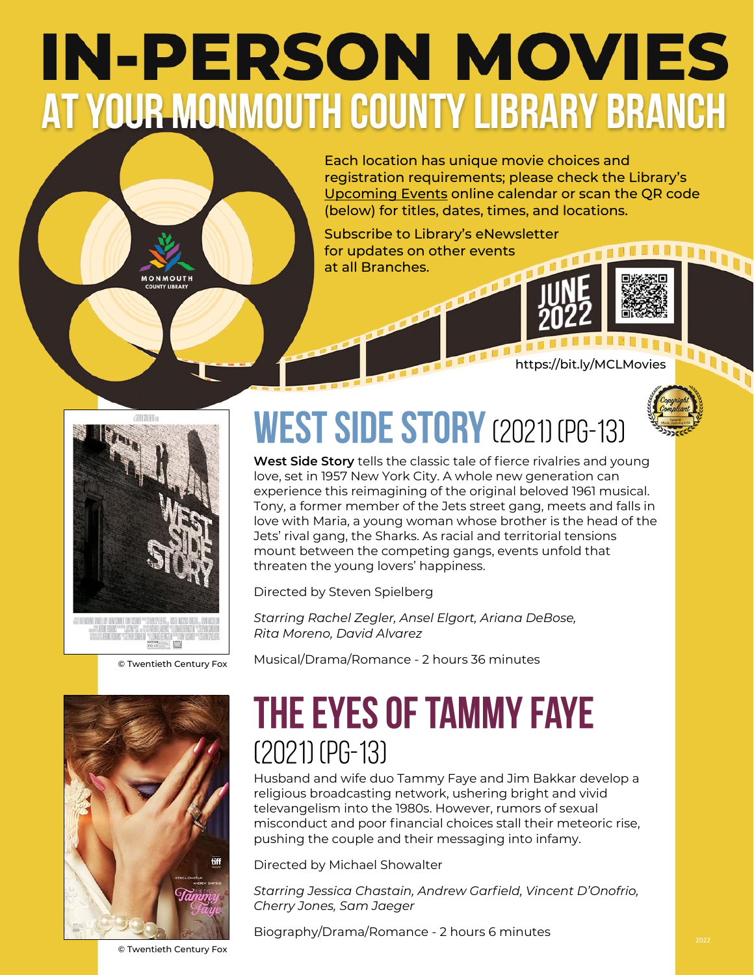## **IN-PERSON MOVIES** AT YOUR MONMOUTH COUNTY LIBRARY BRANCH

Each location has unique movie choices and registration requirements; please check the Library's [Upcoming Events](https://bit.ly/MCLMovies) online calendar or scan the QR code (below) for titles, dates, times, and locations.

Subscribe to Library's eNewsletter for updates on other events at all Branches.



https://bit.ly/MCLMovies





**MONMOUTH** 

© Twentieth Century Fox



## **WEST SIDE STORY** (2021) (PG-13)

**West Side Story** tells the classic tale of fierce rivalries and young love, set in 1957 New York City. A whole new generation can experience this reimagining of the original beloved 1961 musical. Tony, a former member of the Jets street gang, meets and falls in love with Maria, a young woman whose brother is the head of the Jets' rival gang, the Sharks. As racial and territorial tensions mount between the competing gangs, events unfold that threaten the young lovers' happiness.

Directed by Steven Spielberg

*Starring Rachel Zegler, Ansel Elgort, Ariana DeBose, Rita Moreno, David Alvarez*

Musical/Drama/Romance - 2 hours 36 minutes

## **THE EYES OF TAMMY FAYE**  $(2021)$  (PG-13)

Husband and wife duo Tammy Faye and Jim Bakkar develop a religious broadcasting network, ushering bright and vivid televangelism into the 1980s. However, rumors of sexual misconduct and poor financial choices stall their meteoric rise, pushing the couple and their messaging into infamy.

Directed by Michael Showalter

*Starring Jessica Chastain, Andrew Garfield, Vincent D'Onofrio, Cherry Jones, Sam Jaeger*

Biography/Drama/Romance - 2 hours 6 minutes

© Twentieth Century Fox